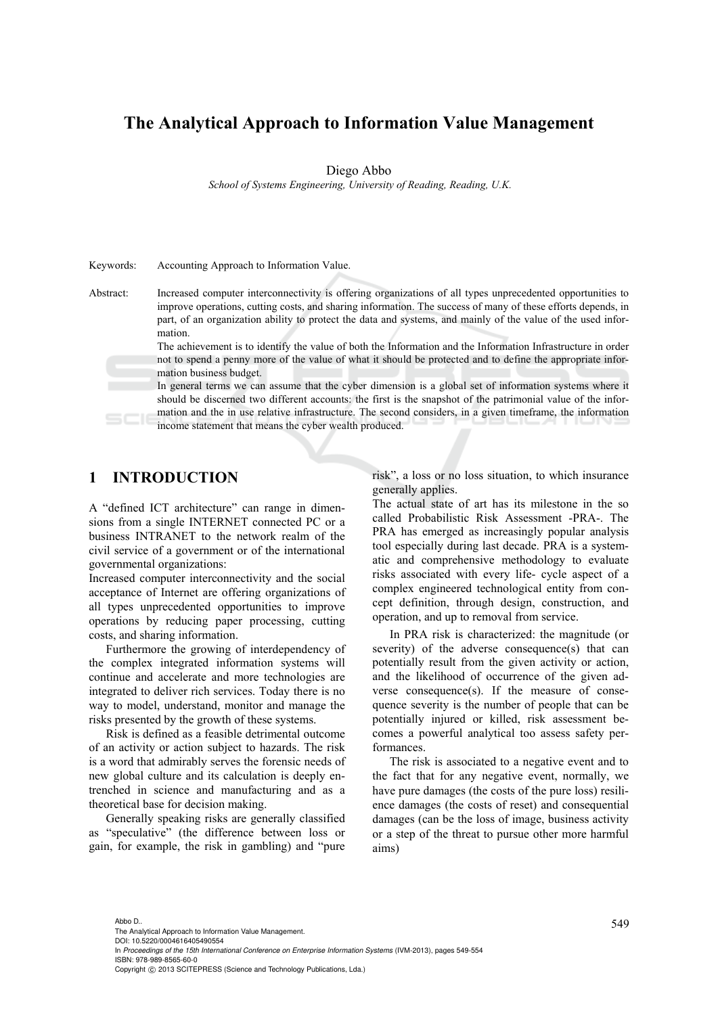# **The Analytical Approach to Information Value Management**

#### Diego Abbo

 *School of Systems Engineering, University of Reading, Reading, U.K.* 

| Kevwords: | Accounting Approach to Information Value.                                                                                                                                                                                                                                                                                                                                                                                                                     |
|-----------|---------------------------------------------------------------------------------------------------------------------------------------------------------------------------------------------------------------------------------------------------------------------------------------------------------------------------------------------------------------------------------------------------------------------------------------------------------------|
| Abstract: | Increased computer interconnectivity is offering organizations of all types unprecedented opportunities to<br>improve operations, cutting costs, and sharing information. The success of many of these efforts depends, in                                                                                                                                                                                                                                    |
|           | part, of an organization ability to protect the data and systems, and mainly of the value of the used infor-<br>mation.                                                                                                                                                                                                                                                                                                                                       |
|           | The achievement is to identify the value of both the Information and the Information Infrastructure in order                                                                                                                                                                                                                                                                                                                                                  |
|           | not to spend a penny more of the value of what it should be protected and to define the appropriate infor-<br>mation business budget.                                                                                                                                                                                                                                                                                                                         |
|           | In general terms we can assume that the cyber dimension is a global set of information systems where it<br>should be discerned two different accounts: the first is the snapshot of the patrimonial value of the infor-<br>$\mathcal{A}$ , and a set of the set of the set of the set of the set of the set of the set of the set of the set of the set of the set of the set of the set of the set of the set of the set of the set of the set of the set of |

mation and the in use relative infrastructure. The second considers, in a given timeframe, the information income statement that means the cyber wealth produced.

## **1 INTRODUCTION**

A "defined ICT architecture" can range in dimensions from a single INTERNET connected PC or a business INTRANET to the network realm of the civil service of a government or of the international governmental organizations:

Increased computer interconnectivity and the social acceptance of Internet are offering organizations of all types unprecedented opportunities to improve operations by reducing paper processing, cutting costs, and sharing information.

Furthermore the growing of interdependency of the complex integrated information systems will continue and accelerate and more technologies are integrated to deliver rich services. Today there is no way to model, understand, monitor and manage the risks presented by the growth of these systems.

Risk is defined as a feasible detrimental outcome of an activity or action subject to hazards. The risk is a word that admirably serves the forensic needs of new global culture and its calculation is deeply entrenched in science and manufacturing and as a theoretical base for decision making.

Generally speaking risks are generally classified as "speculative" (the difference between loss or gain, for example, the risk in gambling) and "pure risk", a loss or no loss situation, to which insurance generally applies.

The actual state of art has its milestone in the so called Probabilistic Risk Assessment -PRA-. The PRA has emerged as increasingly popular analysis tool especially during last decade. PRA is a systematic and comprehensive methodology to evaluate risks associated with every life- cycle aspect of a complex engineered technological entity from concept definition, through design, construction, and operation, and up to removal from service.

In PRA risk is characterized: the magnitude (or severity) of the adverse consequence(s) that can potentially result from the given activity or action, and the likelihood of occurrence of the given adverse consequence(s). If the measure of consequence severity is the number of people that can be potentially injured or killed, risk assessment becomes a powerful analytical too assess safety performances.

The risk is associated to a negative event and to the fact that for any negative event, normally, we have pure damages (the costs of the pure loss) resilience damages (the costs of reset) and consequential damages (can be the loss of image, business activity or a step of the threat to pursue other more harmful aims)

549 Abbo D.. The Analytical Approach to Information Value Management. DOI: 10.5220/0004616405490554

In *Proceedings of the 15th International Conference on Enterprise Information Systems* (IVM-2013), pages 549-554 ISBN: 978-989-8565-60-0

Copyright © 2013 SCITEPRESS (Science and Technology Publications, Lda.)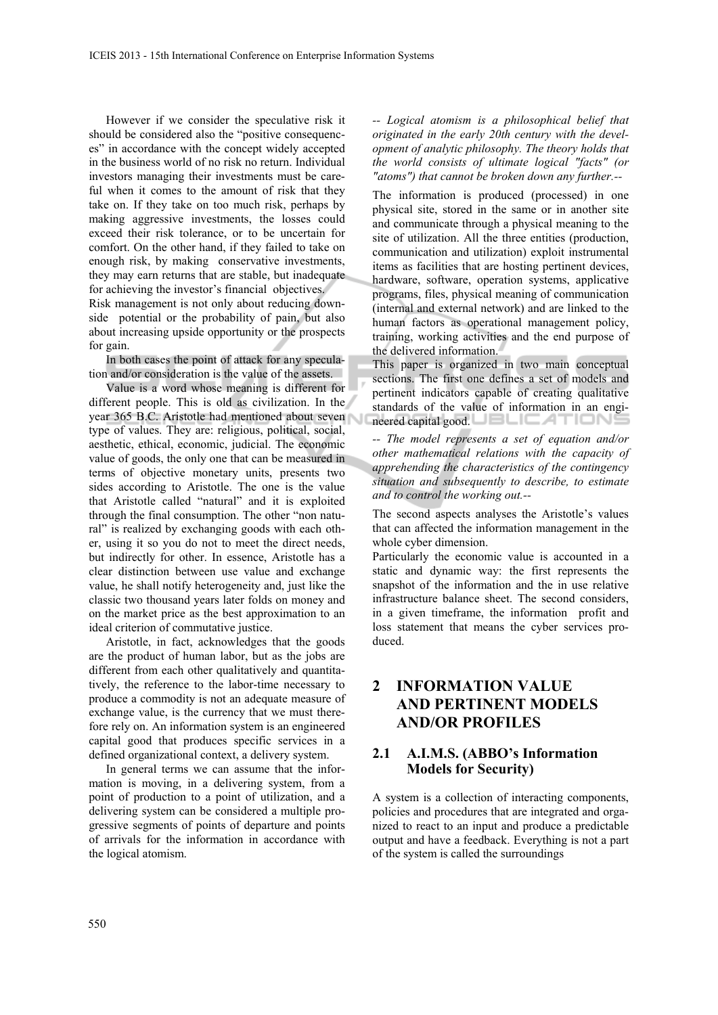However if we consider the speculative risk it should be considered also the "positive consequences" in accordance with the concept widely accepted in the business world of no risk no return. Individual investors managing their investments must be careful when it comes to the amount of risk that they take on. If they take on too much risk, perhaps by making aggressive investments, the losses could exceed their risk tolerance, or to be uncertain for comfort. On the other hand, if they failed to take on enough risk, by making conservative investments, they may earn returns that are stable, but inadequate for achieving the investor's financial objectives.

Risk management is not only about reducing downside potential or the probability of pain, but also about increasing upside opportunity or the prospects for gain.

In both cases the point of attack for any speculation and/or consideration is the value of the assets.

Value is a word whose meaning is different for different people. This is old as civilization. In the year 365 B.C. Aristotle had mentioned about seven type of values. They are: religious, political, social, aesthetic, ethical, economic, judicial. The economic value of goods, the only one that can be measured in terms of objective monetary units, presents two sides according to Aristotle. The one is the value that Aristotle called "natural" and it is exploited through the final consumption. The other "non natural" is realized by exchanging goods with each other, using it so you do not to meet the direct needs, but indirectly for other. In essence, Aristotle has a clear distinction between use value and exchange value, he shall notify heterogeneity and, just like the classic two thousand years later folds on money and on the market price as the best approximation to an ideal criterion of commutative justice.

Aristotle, in fact, acknowledges that the goods are the product of human labor, but as the jobs are different from each other qualitatively and quantitatively, the reference to the labor-time necessary to produce a commodity is not an adequate measure of exchange value, is the currency that we must therefore rely on. An information system is an engineered capital good that produces specific services in a defined organizational context, a delivery system.

In general terms we can assume that the information is moving, in a delivering system, from a point of production to a point of utilization, and a delivering system can be considered a multiple progressive segments of points of departure and points of arrivals for the information in accordance with the logical atomism.

*-- Logical atomism is a philosophical belief that originated in the early 20th century with the development of analytic philosophy. The theory holds that the world consists of ultimate logical "facts" (or "atoms") that cannot be broken down any further.--* 

The information is produced (processed) in one physical site, stored in the same or in another site and communicate through a physical meaning to the site of utilization. All the three entities (production, communication and utilization) exploit instrumental items as facilities that are hosting pertinent devices, hardware, software, operation systems, applicative programs, files, physical meaning of communication (internal and external network) and are linked to the human factors as operational management policy, training, working activities and the end purpose of the delivered information.

This paper is organized in two main conceptual sections. The first one defines a set of models and pertinent indicators capable of creating qualitative standards of the value of information in an engineered capital good. **IELEATION** 

*-- The model represents a set of equation and/or other mathematical relations with the capacity of apprehending the characteristics of the contingency situation and subsequently to describe, to estimate and to control the working out.--* 

The second aspects analyses the Aristotle's values that can affected the information management in the whole cyber dimension.

Particularly the economic value is accounted in a static and dynamic way: the first represents the snapshot of the information and the in use relative infrastructure balance sheet. The second considers, in a given timeframe, the information profit and loss statement that means the cyber services produced.

# **2 INFORMATION VALUE AND PERTINENT MODELS AND/OR PROFILES**

### **2.1 A.I.M.S. (ABBO's Information Models for Security)**

A system is a collection of interacting components, policies and procedures that are integrated and organized to react to an input and produce a predictable output and have a feedback. Everything is not a part of the system is called the surroundings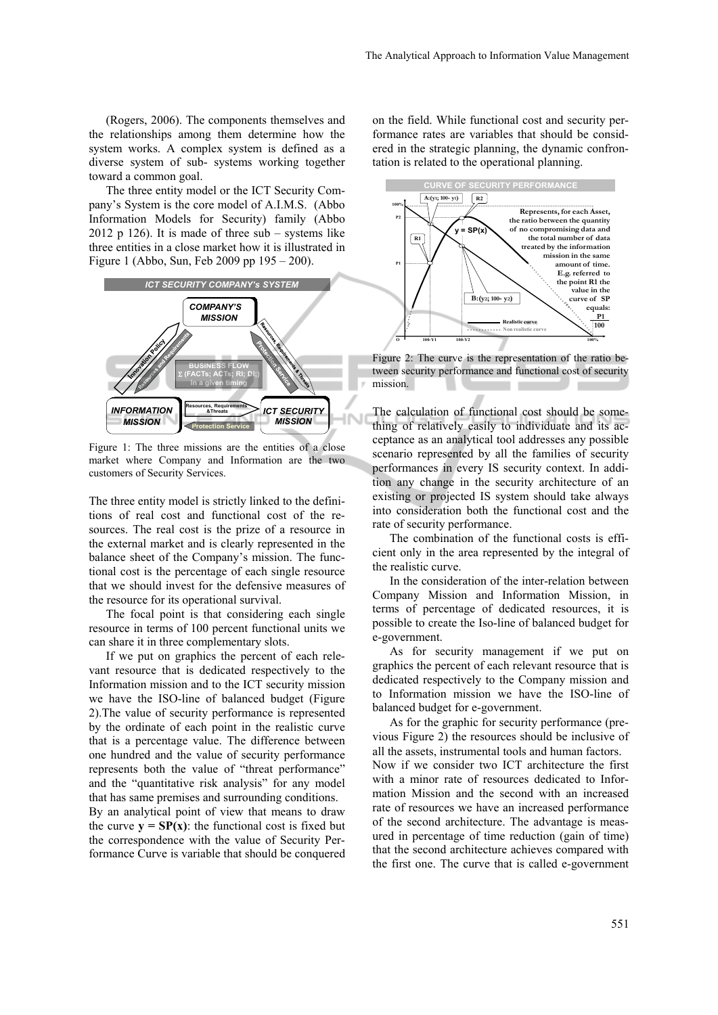(Rogers, 2006). The components themselves and the relationships among them determine how the system works. A complex system is defined as a diverse system of sub- systems working together toward a common goal.

The three entity model or the ICT Security Company's System is the core model of A.I.M.S. (Abbo Information Models for Security) family (Abbo 2012 p 126). It is made of three  $sub$  – systems like three entities in a close market how it is illustrated in Figure 1 (Abbo, Sun, Feb 2009 pp 195 – 200).



Figure 1: The three missions are the entities of a close market where Company and Information are the two customers of Security Services.

The three entity model is strictly linked to the definitions of real cost and functional cost of the resources. The real cost is the prize of a resource in the external market and is clearly represented in the balance sheet of the Company's mission. The functional cost is the percentage of each single resource that we should invest for the defensive measures of the resource for its operational survival.

The focal point is that considering each single resource in terms of 100 percent functional units we can share it in three complementary slots.

If we put on graphics the percent of each relevant resource that is dedicated respectively to the Information mission and to the ICT security mission we have the ISO-line of balanced budget (Figure 2).The value of security performance is represented by the ordinate of each point in the realistic curve that is a percentage value. The difference between one hundred and the value of security performance represents both the value of "threat performance" and the "quantitative risk analysis" for any model that has same premises and surrounding conditions.

By an analytical point of view that means to draw the curve  $\mathbf{v} = \mathbf{SP}(\mathbf{x})$ : the functional cost is fixed but the correspondence with the value of Security Performance Curve is variable that should be conquered on the field. While functional cost and security performance rates are variables that should be considered in the strategic planning, the dynamic confrontation is related to the operational planning.



Figure 2: The curve is the representation of the ratio between security performance and functional cost of security mission.

The calculation of functional cost should be something of relatively easily to individuate and its acceptance as an analytical tool addresses any possible scenario represented by all the families of security performances in every IS security context. In addition any change in the security architecture of an existing or projected IS system should take always into consideration both the functional cost and the rate of security performance.

The combination of the functional costs is efficient only in the area represented by the integral of the realistic curve.

In the consideration of the inter-relation between Company Mission and Information Mission, in terms of percentage of dedicated resources, it is possible to create the Iso-line of balanced budget for e-government.

As for security management if we put on graphics the percent of each relevant resource that is dedicated respectively to the Company mission and to Information mission we have the ISO-line of balanced budget for e-government.

As for the graphic for security performance (previous Figure 2) the resources should be inclusive of all the assets, instrumental tools and human factors. Now if we consider two ICT architecture the first with a minor rate of resources dedicated to Information Mission and the second with an increased rate of resources we have an increased performance of the second architecture. The advantage is measured in percentage of time reduction (gain of time) that the second architecture achieves compared with the first one. The curve that is called e-government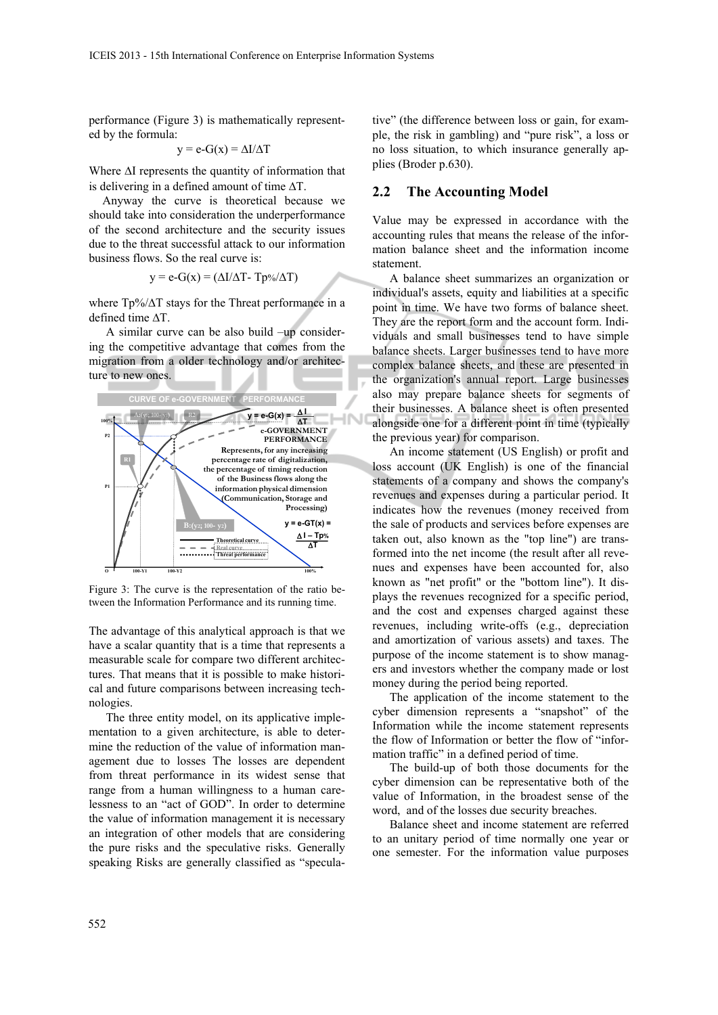performance (Figure 3) is mathematically represented by the formula:

$$
y = e-G(x) = \Delta I/\Delta T
$$

Where  $\Delta I$  represents the quantity of information that is delivering in a defined amount of time  $\Delta T$ .

Anyway the curve is theoretical because we should take into consideration the underperformance of the second architecture and the security issues due to the threat successful attack to our information business flows. So the real curve is:

$$
y = e-G(x) = (\Delta I/\Delta T - Tp\%/\Delta T)
$$

where  $Tp\% / \Delta T$  stays for the Threat performance in a defined time  $\Lambda T$ .

A similar curve can be also build –up considering the competitive advantage that comes from the migration from a older technology and/or architecture to new ones.



Figure 3: The curve is the representation of the ratio between the Information Performance and its running time.

The advantage of this analytical approach is that we have a scalar quantity that is a time that represents a measurable scale for compare two different architectures. That means that it is possible to make historical and future comparisons between increasing technologies.

The three entity model, on its applicative implementation to a given architecture, is able to determine the reduction of the value of information management due to losses The losses are dependent from threat performance in its widest sense that range from a human willingness to a human carelessness to an "act of GOD". In order to determine the value of information management it is necessary an integration of other models that are considering the pure risks and the speculative risks. Generally speaking Risks are generally classified as "specula-

tive" (the difference between loss or gain, for example, the risk in gambling) and "pure risk", a loss or no loss situation, to which insurance generally applies (Broder p.630).

#### **2.2 The Accounting Model**

Value may be expressed in accordance with the accounting rules that means the release of the information balance sheet and the information income statement.

A balance sheet summarizes an organization or individual's assets, equity and liabilities at a specific point in time. We have two forms of balance sheet. They are the report form and the account form. Individuals and small businesses tend to have simple balance sheets. Larger businesses tend to have more complex balance sheets, and these are presented in the organization's annual report. Large businesses also may prepare balance sheets for segments of their businesses. A balance sheet is often presented alongside one for a different point in time (typically the previous year) for comparison.

An income statement (US English) or profit and loss account (UK English) is one of the financial statements of a company and shows the company's revenues and expenses during a particular period. It indicates how the revenues (money received from the sale of products and services before expenses are taken out, also known as the "top line") are transformed into the net income (the result after all revenues and expenses have been accounted for, also known as "net profit" or the "bottom line"). It displays the revenues recognized for a specific period, and the cost and expenses charged against these revenues, including write-offs (e.g., depreciation and amortization of various assets) and taxes. The purpose of the income statement is to show managers and investors whether the company made or lost money during the period being reported.

The application of the income statement to the cyber dimension represents a "snapshot" of the Information while the income statement represents the flow of Information or better the flow of "information traffic" in a defined period of time.

The build-up of both those documents for the cyber dimension can be representative both of the value of Information, in the broadest sense of the word, and of the losses due security breaches.

Balance sheet and income statement are referred to an unitary period of time normally one year or one semester. For the information value purposes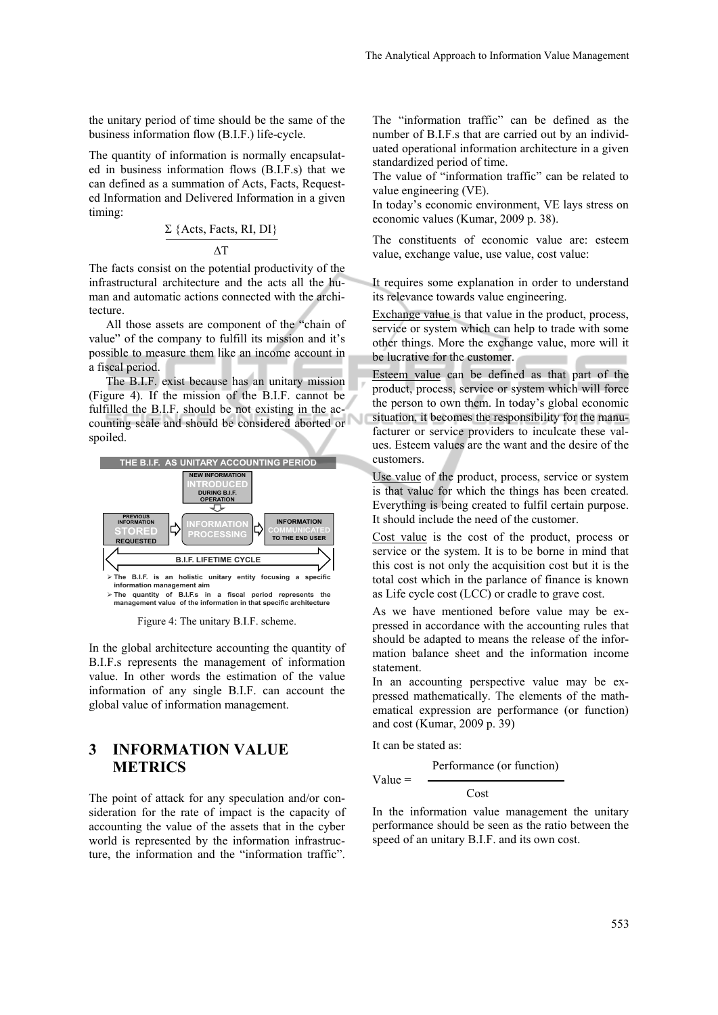the unitary period of time should be the same of the business information flow (B.I.F.) life-cycle.

The quantity of information is normally encapsulated in business information flows (B.I.F.s) that we can defined as a summation of Acts, Facts, Requested Information and Delivered Information in a given timing:

$$
\Sigma \text{ } \{ \text{Acts, Facts, RI, DI} \}
$$

∆T

The facts consist on the potential productivity of the infrastructural architecture and the acts all the human and automatic actions connected with the architecture.

All those assets are component of the "chain of value" of the company to fulfill its mission and it's possible to measure them like an income account in a fiscal period.

The B.I.F. exist because has an unitary mission (Figure 4). If the mission of the B.I.F. cannot be fulfilled the B.I.F. should be not existing in the accounting scale and should be considered aborted or spoiled.



Figure 4: The unitary B.I.F. scheme.

In the global architecture accounting the quantity of B.I.F.s represents the management of information value. In other words the estimation of the value information of any single B.I.F. can account the global value of information management.

# **3 INFORMATION VALUE METRICS**

The point of attack for any speculation and/or consideration for the rate of impact is the capacity of accounting the value of the assets that in the cyber world is represented by the information infrastructure, the information and the "information traffic".

The "information traffic" can be defined as the number of B.I.F.s that are carried out by an individuated operational information architecture in a given standardized period of time.

The value of "information traffic" can be related to value engineering (VE).

In today's economic environment, VE lays stress on economic values (Kumar, 2009 p. 38).

The constituents of economic value are: esteem value, exchange value, use value, cost value:

It requires some explanation in order to understand its relevance towards value engineering.

Exchange value is that value in the product, process, service or system which can help to trade with some other things. More the exchange value, more will it be lucrative for the customer.

Esteem value can be defined as that part of the product, process, service or system which will force the person to own them. In today's global economic situation, it becomes the responsibility for the manufacturer or service providers to inculcate these values. Esteem values are the want and the desire of the customers.

Use value of the product, process, service or system is that value for which the things has been created. Everything is being created to fulfil certain purpose. It should include the need of the customer.

Cost value is the cost of the product, process or service or the system. It is to be borne in mind that this cost is not only the acquisition cost but it is the total cost which in the parlance of finance is known as Life cycle cost (LCC) or cradle to grave cost.

As we have mentioned before value may be expressed in accordance with the accounting rules that should be adapted to means the release of the information balance sheet and the information income statement.

In an accounting perspective value may be expressed mathematically. The elements of the mathematical expression are performance (or function) and cost (Kumar, 2009 p. 39)

It can be stated as:

 $Value =$ 

Performance (or function)

Cost

In the information value management the unitary performance should be seen as the ratio between the speed of an unitary B.I.F. and its own cost.